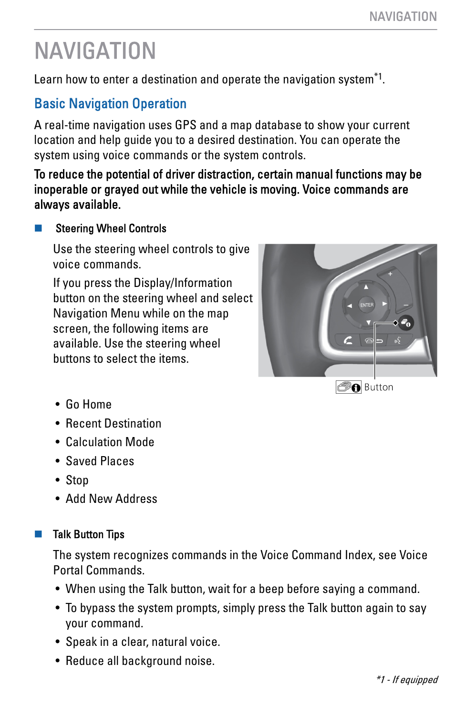Learn how to enter a destination and operate the navigation system $^{\ast }$ 1.

## Basic Navigation Operation

A real-time navigation uses GPS and a map database to show your current location and help guide you to a desired destination. You can operate the system using voice commands or the system controls.

To reduce the potential of driver distraction, certain manual functions may be inoperable or grayed out while the vehicle is moving. Voice commands are always available.

### **Steering Wheel Controls**

Use the steering wheel controls to give voice commands.

If you press the Display/Information button on the steering wheel and select Navigation Menu while on the map screen, the following items are available. Use the steering wheel buttons to select the items.



- Go Home
- Recent Destination
- Calculation Mode
- Saved Places
- Stop
- Add New Address

### Talk Button Tips

The system recognizes commands in the Voice Command Index, see Voice Portal Commands.

- When using the Talk button, wait for a beep before saying a command.
- To bypass the system prompts, simply press the Talk button again to say your command.
- Speak in a clear, natural voice.
- Reduce all background noise.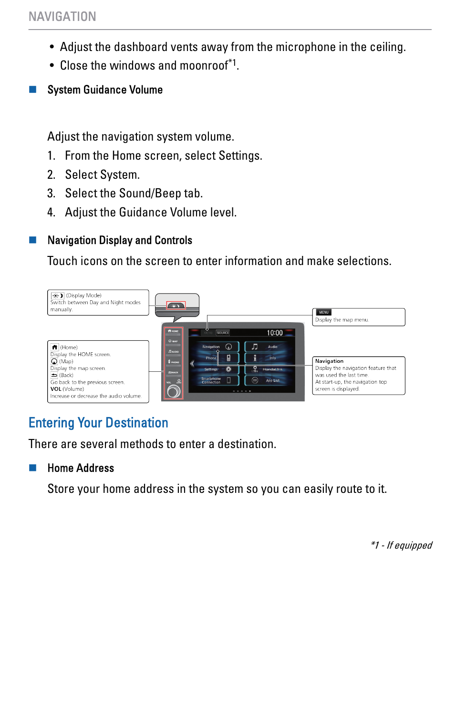- Adjust the dashboard vents away from the microphone in the ceiling.
- Close the windows and moonroof\*1 .

#### System Guidance Volume

Adjust the navigation system volume.

- 1. From the Home screen, select Settings.
- 2. Select System.
- 3. Select the Sound/Beep tab.
- 4. Adjust the Guidance Volume level.

#### **Navigation Display and Controls**

Touch icons on the screen to enter information and make selections.



# Entering Your Destination

There are several methods to enter a destination.

#### **Home Address**

Store your home address in the system so you can easily route to it.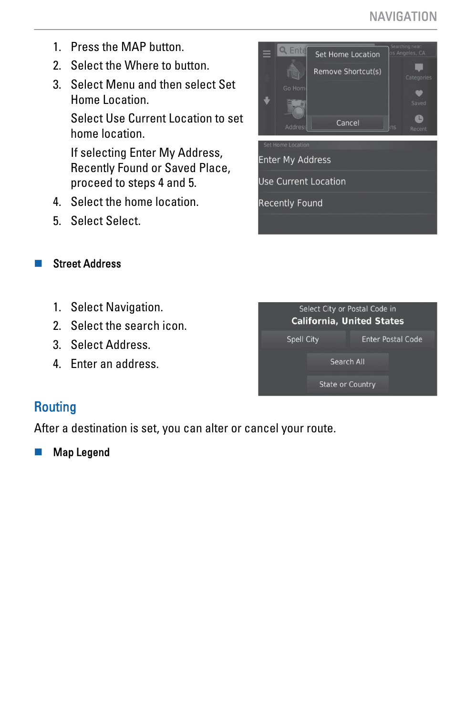- 1. Press the MAP button.
- 2. Select the Where to button.
- 3. Select Menu and then select Set Home Location.

Select Use Current Location to set home location.

If selecting Enter My Address, Recently Found or Saved Place, proceed to steps 4 and 5.

- 4. Select the home location.
- 5. Select Select.

#### **Street Address**

- 1. Select Navigation.
- 2. Select the search icon.
- 3. Select Address.
- 4. Enter an address.

| Select City or Postal Code in<br><b>California, United States</b> |                          |
|-------------------------------------------------------------------|--------------------------|
| Spell City                                                        | <b>Enter Postal Code</b> |
| Search All                                                        |                          |
| State or Country                                                  |                          |

### **Routing**

After a destination is set, you can alter or cancel your route.

**Map Legend**